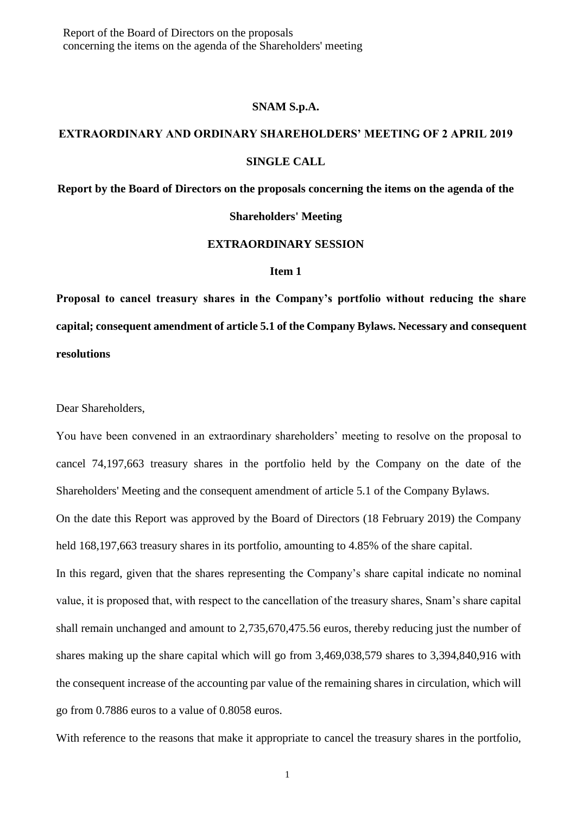Report of the Board of Directors on the proposals concerning the items on the agenda of the Shareholders' meeting

### **SNAM S.p.A.**

# **EXTRAORDINARY AND ORDINARY SHAREHOLDERS' MEETING OF 2 APRIL 2019 SINGLE CALL**

**Report by the Board of Directors on the proposals concerning the items on the agenda of the** 

# **Shareholders' Meeting**

## **EXTRAORDINARY SESSION**

#### **Item 1**

**Proposal to cancel treasury shares in the Company's portfolio without reducing the share capital; consequent amendment of article 5.1 of the Company Bylaws. Necessary and consequent resolutions**

Dear Shareholders,

You have been convened in an extraordinary shareholders' meeting to resolve on the proposal to cancel 74,197,663 treasury shares in the portfolio held by the Company on the date of the Shareholders' Meeting and the consequent amendment of article 5.1 of the Company Bylaws.

On the date this Report was approved by the Board of Directors (18 February 2019) the Company held 168,197,663 treasury shares in its portfolio, amounting to 4.85% of the share capital.

In this regard, given that the shares representing the Company's share capital indicate no nominal value, it is proposed that, with respect to the cancellation of the treasury shares, Snam's share capital shall remain unchanged and amount to 2,735,670,475.56 euros, thereby reducing just the number of shares making up the share capital which will go from 3,469,038,579 shares to 3,394,840,916 with the consequent increase of the accounting par value of the remaining shares in circulation, which will go from 0.7886 euros to a value of 0.8058 euros.

With reference to the reasons that make it appropriate to cancel the treasury shares in the portfolio,

1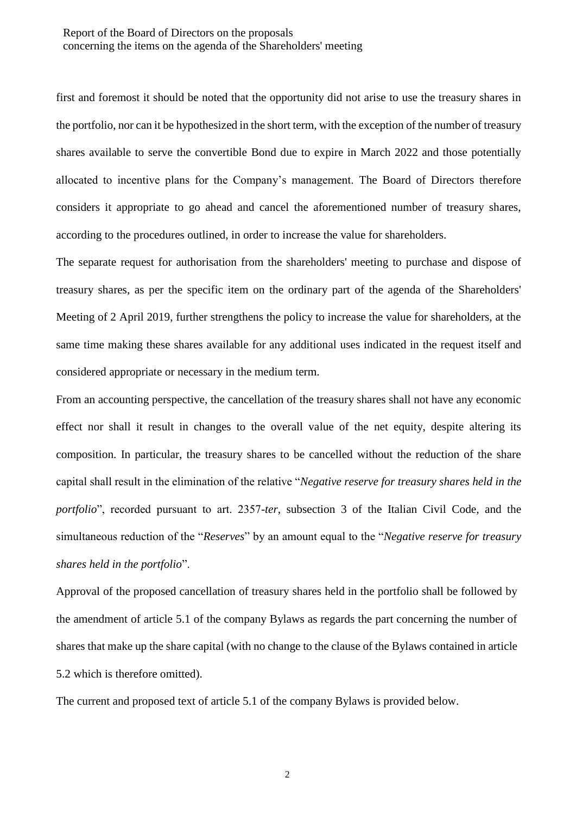# Report of the Board of Directors on the proposals concerning the items on the agenda of the Shareholders' meeting

first and foremost it should be noted that the opportunity did not arise to use the treasury shares in the portfolio, nor can it be hypothesized in the short term, with the exception of the number of treasury shares available to serve the convertible Bond due to expire in March 2022 and those potentially allocated to incentive plans for the Company's management. The Board of Directors therefore considers it appropriate to go ahead and cancel the aforementioned number of treasury shares, according to the procedures outlined, in order to increase the value for shareholders.

The separate request for authorisation from the shareholders' meeting to purchase and dispose of treasury shares, as per the specific item on the ordinary part of the agenda of the Shareholders' Meeting of 2 April 2019, further strengthens the policy to increase the value for shareholders, at the same time making these shares available for any additional uses indicated in the request itself and considered appropriate or necessary in the medium term.

From an accounting perspective, the cancellation of the treasury shares shall not have any economic effect nor shall it result in changes to the overall value of the net equity, despite altering its composition. In particular, the treasury shares to be cancelled without the reduction of the share capital shall result in the elimination of the relative "*Negative reserve for treasury shares held in the portfolio*", recorded pursuant to art. 2357-*ter*, subsection 3 of the Italian Civil Code, and the simultaneous reduction of the "*Reserves*" by an amount equal to the "*Negative reserve for treasury shares held in the portfolio*".

Approval of the proposed cancellation of treasury shares held in the portfolio shall be followed by the amendment of article 5.1 of the company Bylaws as regards the part concerning the number of shares that make up the share capital (with no change to the clause of the Bylaws contained in article 5.2 which is therefore omitted).

The current and proposed text of article 5.1 of the company Bylaws is provided below.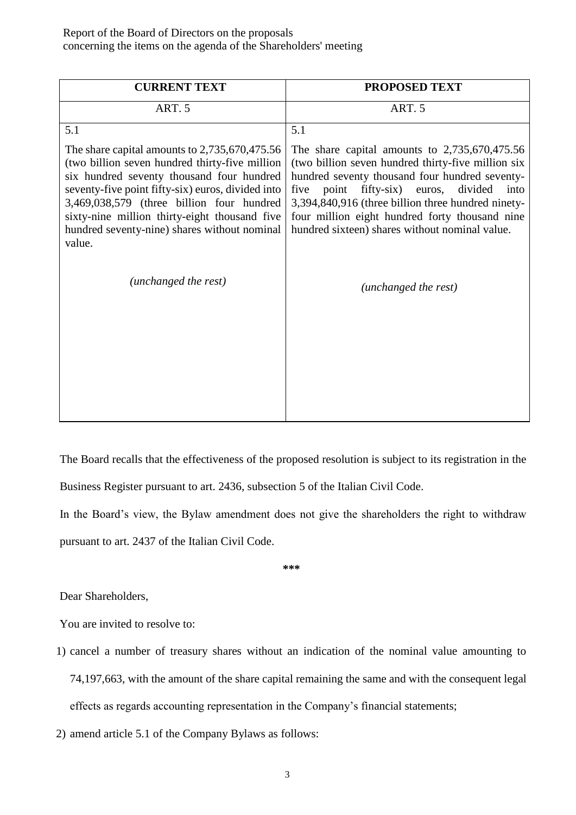Report of the Board of Directors on the proposals concerning the items on the agenda of the Shareholders' meeting

| <b>CURRENT TEXT</b>                                                                                                                                                                                                                                                                                                                                         | <b>PROPOSED TEXT</b>                                                                                                                                                                                                                                                                                                                                                       |
|-------------------------------------------------------------------------------------------------------------------------------------------------------------------------------------------------------------------------------------------------------------------------------------------------------------------------------------------------------------|----------------------------------------------------------------------------------------------------------------------------------------------------------------------------------------------------------------------------------------------------------------------------------------------------------------------------------------------------------------------------|
| ART. 5                                                                                                                                                                                                                                                                                                                                                      | ART. 5                                                                                                                                                                                                                                                                                                                                                                     |
| 5.1                                                                                                                                                                                                                                                                                                                                                         | 5.1                                                                                                                                                                                                                                                                                                                                                                        |
| The share capital amounts to $2,735,670,475.56$<br>(two billion seven hundred thirty-five million<br>six hundred seventy thousand four hundred<br>seventy-five point fifty-six) euros, divided into<br>3,469,038,579 (three billion four hundred<br>sixty-nine million thirty-eight thousand five<br>hundred seventy-nine) shares without nominal<br>value. | The share capital amounts to $2,735,670,475.56$<br>(two billion seven hundred thirty-five million six<br>hundred seventy thousand four hundred seventy-<br>point<br>fifty-six) euros,<br>five<br>divided<br>into<br>3,394,840,916 (three billion three hundred ninety-<br>four million eight hundred forty thousand nine<br>hundred sixteen) shares without nominal value. |
| (unchanged the rest)                                                                                                                                                                                                                                                                                                                                        | (unchanged the rest)                                                                                                                                                                                                                                                                                                                                                       |

The Board recalls that the effectiveness of the proposed resolution is subject to its registration in the Business Register pursuant to art. 2436, subsection 5 of the Italian Civil Code.

In the Board's view, the Bylaw amendment does not give the shareholders the right to withdraw

pursuant to art. 2437 of the Italian Civil Code.

**\*\*\***

Dear Shareholders,

You are invited to resolve to:

- 1) cancel a number of treasury shares without an indication of the nominal value amounting to 74,197,663, with the amount of the share capital remaining the same and with the consequent legal effects as regards accounting representation in the Company's financial statements;
- 2) amend article 5.1 of the Company Bylaws as follows: